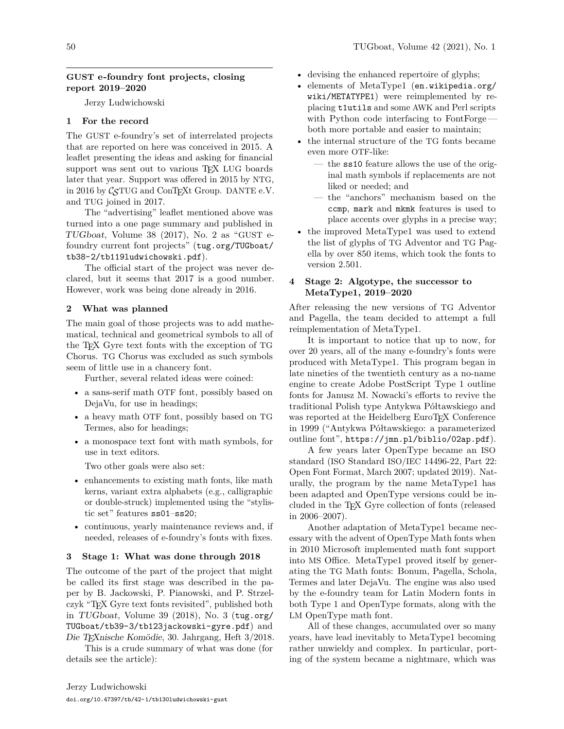### **GUST e-foundry font projects, closing report 2019–2020**

Jerzy Ludwichowski

## **1 For the record**

The GUST e-foundry's set of interrelated projects that are reported on here was conceived in 2015. A leaflet presenting the ideas and asking for financial support was sent out to various T<sub>EX</sub> LUG boards later that year. Support was offered in 2015 by NTG, in 2016 by  $\mathcal{C}_{\mathcal{S}}$ TUG and ConT<sub>F</sub>Xt Group. DANTE e.V. and TUG joined in 2017.

The "advertising" leaflet mentioned above was turned into a one page summary and published in TUGboat, Volume 38 (2017), No. 2 as "GUST efoundry current font projects" ([tug.org/TUGboat/](https://tug.org/TUGboat/tb38-2/tb119ludwichowski.pdf) [tb38-2/tb119ludwichowski.pdf](https://tug.org/TUGboat/tb38-2/tb119ludwichowski.pdf)).

The official start of the project was never declared, but it seems that 2017 is a good number. However, work was being done already in 2016.

# <span id="page-0-0"></span>**2 What was planned**

The main goal of those projects was to add mathematical, technical and geometrical symbols to all of the TEX Gyre text fonts with the exception of TG Chorus. TG Chorus was excluded as such symbols seem of little use in a chancery font.

Further, several related ideas were coined:

- a sans-serif math OTF font, possibly based on DejaVu, for use in headings;
- a heavy math OTF font, possibly based on TG Termes, also for headings;
- a monospace text font with math symbols, for use in text editors.

Two other goals were also set:

- enhancements to existing math fonts, like math kerns, variant extra alphabets (e.g., calligraphic or double-struck) implemented using the "stylistic set" features <ss01>–<ss20>;
- continuous, yearly maintenance reviews and, if needed, releases of e-foundry's fonts with fixes.

### **3 Stage 1: What was done through 2018**

The outcome of the part of the project that might be called its first stage was described in the paper by B. Jackowski, P. Pianowski, and P. Strzelczyk "TEX Gyre text fonts revisited", published both in TUGboat, Volume 39 (2018), No. 3 ([tug.org/](https://tug.org/TUGboat/tb39-3/tb123jackowski-gyre.pdf) [TUGboat/tb39-3/tb123jackowski-gyre.pdf](https://tug.org/TUGboat/tb39-3/tb123jackowski-gyre.pdf)) and Die TEXnische Komödie, 30. Jahrgang, Heft 3/2018.

This is a crude summary of what was done (for details see the article):

- devising the enhanced repertoire of glyphs;
- elements of MetaType1 ([en.wikipedia.org/](https://en.wikipedia.org/wiki/METATYPE1) [wiki/METATYPE1](https://en.wikipedia.org/wiki/METATYPE1)) were reimplemented by replacing t1utils and some AWK and Perl scripts with Python code interfacing to FontForge both more portable and easier to maintain;
- the internal structure of the TG fonts became even more OTF-like:
	- the <ss10> feature allows the use of the original math symbols if replacements are not liked or needed; and
	- the "anchors" mechanism based on the <ccmp>, <mark> and <mkmk> features is used to place accents over glyphs in a precise way;
- the improved MetaType1 was used to extend the list of glyphs of TG Adventor and TG Pagella by over 850 items, which took the fonts to version 2.501.

# **4 Stage 2: Algotype, the successor to MetaType1, 2019–2020**

After releasing the new versions of TG Adventor and Pagella, the team decided to attempt a full reimplementation of MetaType1.

It is important to notice that up to now, for over 20 years, all of the many e-foundry's fonts were produced with MetaType1. This program began in late nineties of the twentieth century as a no-name engine to create Adobe PostScript Type 1 outline fonts for Janusz M. Nowacki's efforts to revive the traditional Polish type Antykwa Półtawskiego and was reported at the Heidelberg EuroT<sub>F</sub>X Conference in 1999 ("Antykwa Półtawskiego: a parameterized outline font", [https://jmn.pl/biblio/02ap.pdf](https://https://jmn.pl/biblio/02ap.pdf)).

A few years later OpenType became an ISO standard (ISO Standard ISO/IEC 14496-22, Part 22: Open Font Format, March 2007; updated 2019). Naturally, the program by the name MetaType1 has been adapted and OpenType versions could be included in the TEX Gyre collection of fonts (released in 2006–2007).

Another adaptation of MetaType1 became necessary with the advent of OpenType Math fonts when in 2010 Microsoft implemented math font support into MS Office. MetaType1 proved itself by generating the TG Math fonts: Bonum, Pagella, Schola, Termes and later DejaVu. The engine was also used by the e-foundry team for Latin Modern fonts in both Type 1 and OpenType formats, along with the LM OpenType math font.

All of these changes, accumulated over so many years, have lead inevitably to MetaType1 becoming rather unwieldy and complex. In particular, porting of the system became a nightmare, which was